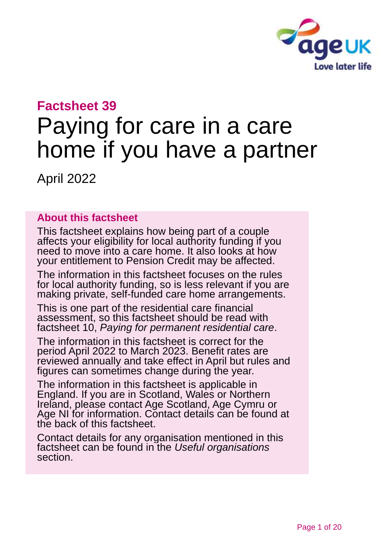

# **Factsheet 39**

# Paying for care in a care home if you have a partner

April 2022

### **About this factsheet**

This factsheet explains how being part of a couple affects your eligibility for local authority funding if you need to move into a care home. It also looks at how your entitlement to Pension Credit may be affected.

The information in this factsheet focuses on the rules for local authority funding, so is less relevant if you are making private, self-funded care home arrangements.

This is one part of the residential care financial assessment, so this factsheet should be read with factsheet 10, *[Paying for permanent residential care](https://www.ageuk.org.uk/globalassets/age-uk/documents/factsheets/fs10_paying_for_permanent_residential_care_fcs.pdf)*.

The information in this factsheet is correct for the period April 2022 to March 2023. Benefit rates are reviewed annually and take effect in April but rules and figures can sometimes change during the year.

The information in this factsheet is applicable in England. If you are in Scotland, Wales or Northern Ireland, please contact [Age Scotland, Age Cymru or](#page-18-0)  [Age NI](#page-18-0) for information. Contact details can be found at the back of this factsheet.

Contact details for any organisation mentioned in this factsheet can be found in the *[Useful organisations](#page-17-0)* section.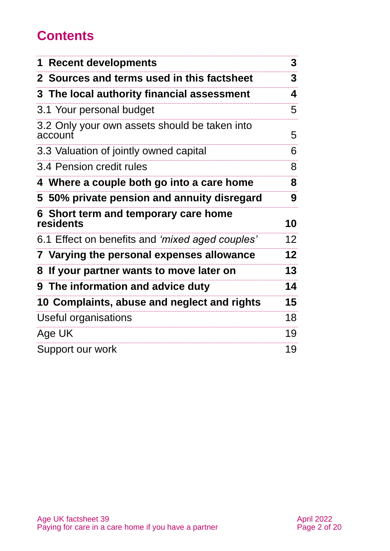# **Contents**

| <b>1 Recent developments</b>                             | 3               |
|----------------------------------------------------------|-----------------|
| 2 Sources and terms used in this factsheet               | 3               |
| 3 The local authority financial assessment               | 4               |
| 3.1 Your personal budget                                 | 5               |
| 3.2 Only your own assets should be taken into<br>account | 5               |
| 3.3 Valuation of jointly owned capital                   | 6               |
| 3.4 Pension credit rules                                 | 8               |
| 4 Where a couple both go into a care home                | 8               |
| 5 50% private pension and annuity disregard              | 9               |
| 6 Short term and temporary care home<br>residents        | 10              |
| 6.1 Effect on benefits and 'mixed aged couples'          | 12 <sup>2</sup> |
| 7 Varying the personal expenses allowance                | 12 <sub>2</sub> |
| If your partner wants to move later on<br>8              | 13              |
| 9 The information and advice duty                        | 14              |
| 10 Complaints, abuse and neglect and rights              | 15              |
| Useful organisations                                     | 18              |
| Age UK                                                   | 19              |
| Support our work                                         | 19              |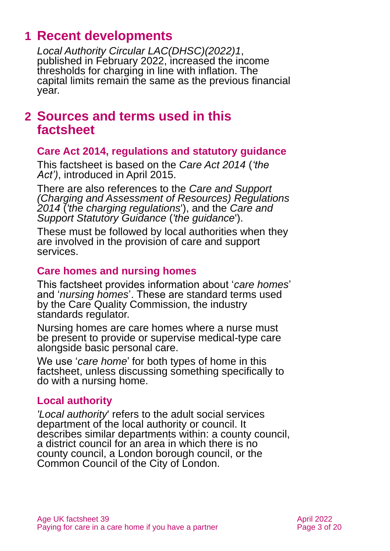# <span id="page-2-0"></span>**1 Recent developments**

*[Local Authority Circular LAC\(DHSC\)\(2022\)1](https://www.gov.uk/government/publications/social-care-charging-for-local-authorities-2022-to-2023/social-care-charging-for-care-and-support-local-authority-circular-lacdhsc20231)*, published in February 2022, increased the income thresholds for charging in line with inflation. The capital limits remain the same as the previous financial year.

### <span id="page-2-1"></span>**2 Sources and terms used in this factsheet**

#### **Care Act 2014, regulations and statutory guidance**

This factsheet is based on the *[Care Act 2014](https://www.legislation.gov.uk/ukpga/2014/23/contents)* (*'the Act')*, introduced in April 2015.

There are also references to the *[Care and Support](http://www.legislation.gov.uk/uksi/2014/2672/contents/made)  [\(Charging and Assessment of Resources\) Regulations](http://www.legislation.gov.uk/uksi/2014/2672/contents/made)  [2014](http://www.legislation.gov.uk/uksi/2014/2672/contents/made)* (*'the charging regulations*'), and the *[Care and](https://www.gov.uk/government/publications/care-act-statutory-guidance/care-and-support-statutory-guidance)  [Support Statutory Guidance](https://www.gov.uk/government/publications/care-act-statutory-guidance/care-and-support-statutory-guidance)* (*'the guidance*').

These must be followed by local authorities when they are involved in the provision of care and support services.

### **Care homes and nursing homes**

This factsheet provides information about '*care homes*' and '*nursing homes*'. These are standard terms used by the Care Quality Commission, the industry standards regulator.

Nursing homes are care homes where a nurse must be present to provide or supervise medical-type care alongside basic personal care.

We use '*care home*' for both types of home in this factsheet, unless discussing something specifically to do with a nursing home.

#### **Local authority**

*'Local authority*' refers to the adult social services department of the local authority or council. It describes similar departments within: a county council, a district council for an area in which there is no county council, a London borough council, or the Common Council of the City of London.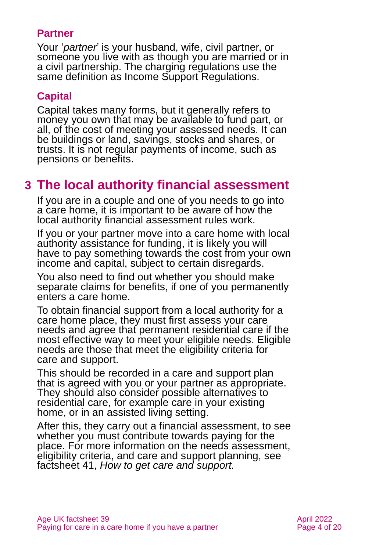### **Partner**

Your '*partner*' is your husband, wife, civil partner, or someone you live with as though you are married or in a civil partnership. The charging regulations use the same definition as Income Support Regulations.

### **Capital**

Capital takes many forms, but it generally refers to money you own that may be available to fund part, or all, of the cost of meeting your assessed needs. It can be buildings or land, savings, stocks and shares, or trusts. It is not regular payments of income, such as pensions or benefits.

# <span id="page-3-0"></span>**3 The local authority financial assessment**

If you are in a couple and one of you needs to go into a care home, it is important to be aware of how the local authority financial assessment rules work.

If you or your partner move into a care home with local authority assistance for funding, it is likely you will have to pay something towards the cost from your own income and capital, subject to certain disregards.

You also need to find out whether you should make separate claims for benefits, if one of you permanently enters a care home.

To obtain financial support from a local authority for a care home place, they must first assess your care needs and agree that permanent residential care if the most effective way to meet your eligible needs. Eligible needs are those that meet the eligibility criteria for care and support.

This should be recorded in a care and support plan that is agreed with you or your partner as appropriate. They should also consider possible alternatives to residential care, for example care in your existing home, or in an assisted living setting.

After this, they carry out a financial assessment, to see whether you must contribute towards paying for the place. For more information on the needs assessment, eligibility criteria, and care and support planning, see factsheet 41, *[How to get care and support.](https://www.ageuk.org.uk/globalassets/age-uk/documents/factsheets/fs41_how_to_get_care_and_support_fcs.pdf)*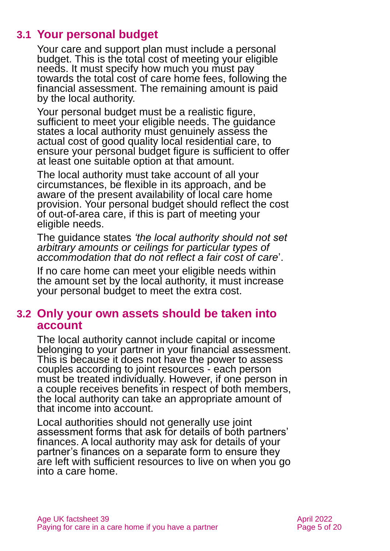### **3.1 Your personal budget**

Your care and support plan must include a personal budget. This is the total cost of meeting your eligible needs. It must specify how much you must pay towards the total cost of care home fees, following the financial assessment. The remaining amount is paid by the local authority.

Your personal budget must be a realistic figure, sufficient to meet your eligible needs. The guidance states a local authority must genuinely assess the actual cost of good quality local residential care, to ensure your personal budget figure is sufficient to offer at least one suitable option at that amount.

The local authority must take account of all your circumstances, be flexible in its approach, and be aware of the present availability of local care home provision. Your personal budget should reflect the cost of out-of-area care, if this is part of meeting your eligible needs.

The guidance states *'the local authority should not set arbitrary amounts or ceilings for particular types of accommodation that do not reflect a fair cost of care*'.

If no care home can meet your eligible needs within the amount set by the local authority, it must increase your personal budget to meet the extra cost.

### **3.2 Only your own assets should be taken into account**

The local authority cannot include capital or income belonging to your partner in your financial assessment. This is because it does not have the power to assess couples according to joint resources - each person must be treated individually. However, if one person in a couple receives benefits in respect of both members, the local authority can take an appropriate amount of that income into account.

Local authorities should not generally use joint assessment forms that ask for details of both partners' finances. A local authority may ask for details of your partner's finances on a separate form to ensure they are left with sufficient resources to live on when you go into a care home.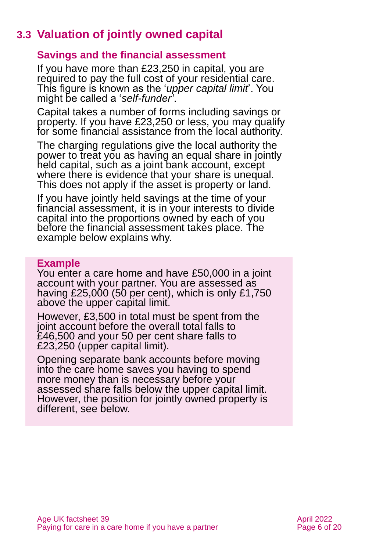# **3.3 Valuation of jointly owned capital**

### **Savings and the financial assessment**

If you have more than £23,250 in capital, you are required to pay the full cost of your residential care. This figure is known as the '*upper capital limit*'. You might be called a '*self-funder'*.

Capital takes a number of forms including savings or property. If you have £23,250 or less, you may qualify for some financial assistance from the local authority.

The charging regulations give the local authority the power to treat you as having an equal share in jointly held capital, such as a joint bank account, except where there is evidence that your share is unequal. This does not apply if the asset is property or land.

If you have jointly held savings at the time of your financial assessment, it is in your interests to divide capital into the proportions owned by each of you before the financial assessment takes place. The example below explains why.

#### **Example**

You enter a care home and have £50,000 in a joint account with your partner. You are assessed as having  $£25,000$  (50 per cent), which is only  $£1,750$ above the upper capital limit.

However, £3,500 in total must be spent from the joint account before the overall total falls to £46,500 and your 50 per cent share falls to £23,250 (upper capital limit).

Opening separate bank accounts before moving into the care home saves you having to spend more money than is necessary before your assessed share falls below the upper capital limit. However, the position for jointly owned property is different, see below.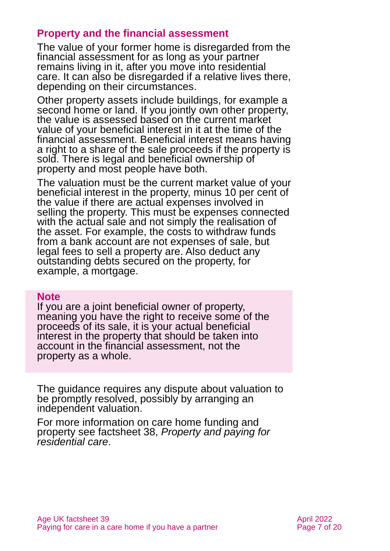### **Property and the financial assessment**

The value of your former home is disregarded from the financial assessment for as long as your partner remains living in it, after you move into residential care. It can also be disregarded if a relative lives there, depending on their circumstances.

Other property assets include buildings, for example a second home or land. If you jointly own other property, the value is assessed based on the current market value of your beneficial interest in it at the time of the financial assessment. Beneficial interest means having a right to a share of the sale proceeds if the property is sold. There is legal and beneficial ownership of property and most people have both.

The valuation must be the current market value of your beneficial interest in the property, minus 10 per cent of the value if there are actual expenses involved in selling the property. This must be expenses connected with the actual sale and not simply the realisation of the asset. For example, the costs to withdraw funds from a bank account are not expenses of sale, but legal fees to sell a property are. Also deduct any outstanding debts secured on the property, for example, a mortgage.

#### **Note**

If you are a joint beneficial owner of property, meaning you have the right to receive some of the proceeds of its sale, it is your actual beneficial interest in the property that should be taken into account in the financial assessment, not the property as a whole.

The guidance requires any dispute about valuation to be promptly resolved, possibly by arranging an independent valuation.

For more information on care home funding and property see factsheet 38, *[Property and paying for](https://www.ageuk.org.uk/globalassets/age-uk/documents/factsheets/fs38_property_and_paying_for_residential_care_fcs.pdf)  [residential care](https://www.ageuk.org.uk/globalassets/age-uk/documents/factsheets/fs38_property_and_paying_for_residential_care_fcs.pdf)*.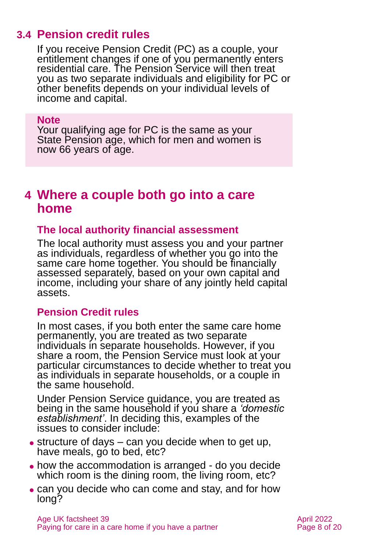### **3.4 Pension credit rules**

If you receive Pension Credit (PC) as a couple, your entitlement changes if one of you permanently enters residential care. The Pension Service will then treat you as two separate individuals and eligibility for PC or other benefits depends on your individual levels of income and capital.

#### **Note**

Your qualifying age for PC is the same as your State Pension age, which for men and women is now 66 years of age.

### <span id="page-7-0"></span>**4 Where a couple both go into a care home**

#### **The local authority financial assessment**

The local authority must assess you and your partner as individuals, regardless of whether you go into the same care home together. You should be financially assessed separately, based on your own capital and income, including your share of any jointly held capital assets.

#### **Pension Credit rules**

In most cases, if you both enter the same care home permanently, you are treated as two separate individuals in separate households. However, if you share a room, the Pension Service must look at your particular circumstances to decide whether to treat you as individuals in separate households, or a couple in the same household.

Under Pension Service guidance, you are treated as being in the same household if you share a *'domestic establishment'*. In deciding this, examples of the issues to consider include:

- $\bullet$  structure of days can you decide when to get up, have meals, go to bed, etc?
- how the accommodation is arranged do you decide which room is the dining room, the living room, etc?
- can you decide who can come and stay, and for how long?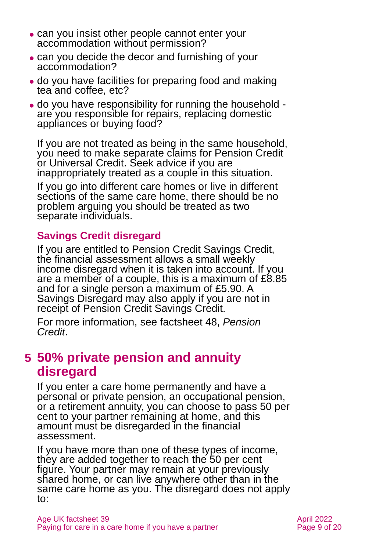- ⚫ can you insist other people cannot enter your accommodation without permission?
- ⚫ can you decide the decor and furnishing of your accommodation?
- ⚫ do you have facilities for preparing food and making tea and coffee, etc?
- ⚫ do you have responsibility for running the household are you responsible for repairs, replacing domestic appliances or buying food?

If you are not treated as being in the same household, you need to make separate claims for Pension Credit or Universal Credit. Seek advice if you are inappropriately treated as a couple in this situation.

If you go into different care homes or live in different sections of the same care home, there should be no problem arguing you should be treated as two separate individuals.

### **Savings Credit disregard**

If you are entitled to Pension Credit Savings Credit, the financial assessment allows a small weekly income disregard when it is taken into account. If you are a member of a couple, this is a maximum of £8.85 and for a single person a maximum of £5.90. A Savings Disregard may also apply if you are not in receipt of Pension Credit Savings Credit.

For more information, see factsheet 48, *[Pension](https://www.ageuk.org.uk/globalassets/age-uk/documents/factsheets/fs48_pension_credit_fcs.pdf)  [Credit](https://www.ageuk.org.uk/globalassets/age-uk/documents/factsheets/fs48_pension_credit_fcs.pdf)*.

# <span id="page-8-0"></span>**5 50% private pension and annuity disregard**

If you enter a care home permanently and have a personal or private pension, an occupational pension, or a retirement annuity, you can choose to pass 50 per cent to your partner remaining at home, and this amount must be disregarded in the financial assessment.

If you have more than one of these types of income, they are added together to reach the 50 per cent figure. Your partner may remain at your previously shared home, or can live anywhere other than in the same care home as you. The disregard does not apply to: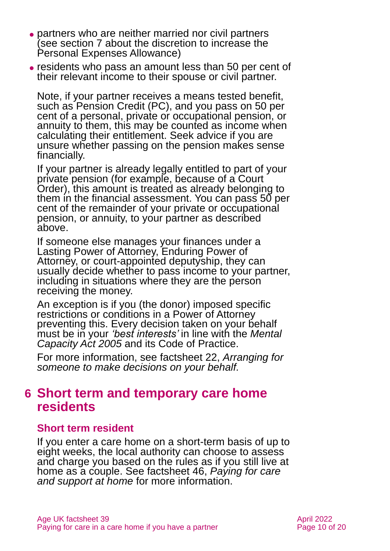- ⚫ partners who are neither married nor civil partners (see [section 7](#page-11-0) about the discretion to increase the Personal Expenses Allowance)
- ⚫ residents who pass an amount less than 50 per cent of their relevant income to their spouse or civil partner.

Note, if your partner receives a means tested benefit, such as Pension Credit (PC), and you pass on 50 per cent of a personal, private or occupational pension, or annuity to them, this may be counted as income when calculating their entitlement. Seek advice if you are unsure whether passing on the pension makes sense financially.

If your partner is already legally entitled to part of your private pension (for example, because of a Court Order), this amount is treated as already belonging to them in the financial assessment. You can pass 50 per cent of the remainder of your private or occupational pension, or annuity, to your partner as described above.

If someone else manages your finances under a Lasting Power of Attorney, Enduring Power of Attorney, or court-appointed deputyship, they can usually decide whether to pass income to your partner, including in situations where they are the person receiving the money.

An exception is if you (the donor) imposed specific restrictions or conditions in a Power of Attorney preventing this. Every decision taken on your behalf must be in your *'best interests'* in line with the *Mental Capacity Act 2005* and its Code of Practice.

For more information, see factsheet 22, *[Arranging for](https://www.ageuk.org.uk/globalassets/age-uk/documents/factsheets/fs22_arranging_for_someone_to_make_decisions_on_your_behalf_fcs.pdf)  [someone to make decisions on your behalf.](https://www.ageuk.org.uk/globalassets/age-uk/documents/factsheets/fs22_arranging_for_someone_to_make_decisions_on_your_behalf_fcs.pdf)*

### <span id="page-9-0"></span>**6 Short term and temporary care home residents**

### **Short term resident**

If you enter a care home on a short-term basis of up to eight weeks, the local authority can choose to assess and charge you based on the rules as if you still live at home as a couple. See factsheet 46, *[Paying for care](https://www.ageuk.org.uk/globalassets/age-uk/documents/factsheets/fs46_paying_for_care_and_support_at_home_fcs.pdf)  [and support at home](https://www.ageuk.org.uk/globalassets/age-uk/documents/factsheets/fs46_paying_for_care_and_support_at_home_fcs.pdf)* for more information.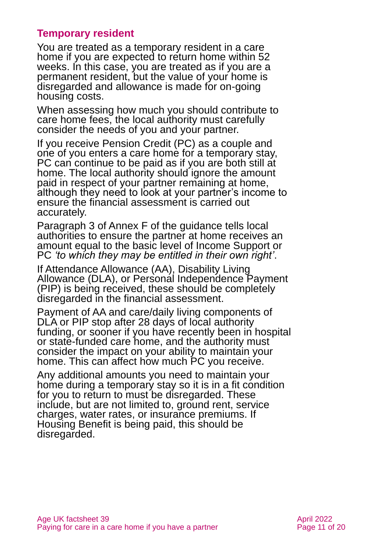### **Temporary resident**

You are treated as a temporary resident in a care home if you are expected to return home within 52 weeks. In this case, you are treated as if you are a permanent resident, but the value of your home is disregarded and allowance is made for on-going housing costs.

When assessing how much you should contribute to care home fees, the local authority must carefully consider the needs of you and your partner.

If you receive Pension Credit (PC) as a couple and one of you enters a care home for a temporary stay, PC can continue to be paid as if you are both still at home. The local authority should ignore the amount paid in respect of your partner remaining at home, although they need to look at your partner's income to ensure the financial assessment is carried out accurately.

Paragraph 3 of Annex F of the guidance tells local authorities to ensure the partner at home receives an amount equal to the basic level of Income Support or PC *'to which they may be entitled in their own right'*.

If Attendance Allowance (AA), Disability Living Allowance (DLA), or Personal Independence Payment (PIP) is being received, these should be completely disregarded in the financial assessment.

Payment of AA and care/daily living components of DLA or PIP stop after 28 days of local authority funding, or sooner if you have recently been in hospital or state-funded care home, and the authority must consider the impact on your ability to maintain your home. This can affect how much PC you receive.

Any additional amounts you need to maintain your home during a temporary stay so it is in a fit condition for you to return to must be disregarded. These include, but are not limited to, ground rent, service charges, water rates, or insurance premiums. If Housing Benefit is being paid, this should be disregarded.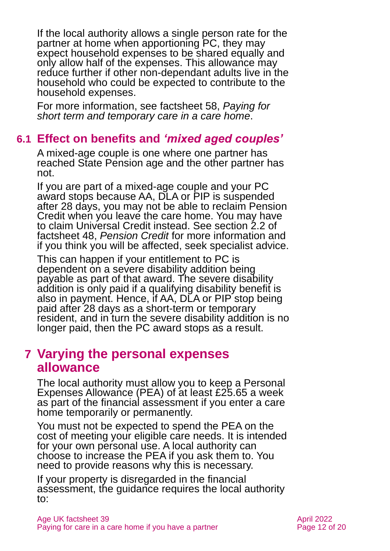If the local authority allows a single person rate for the partner at home when apportioning PC, they may expect household expenses to be shared equally and only allow half of the expenses. This allowance may reduce further if other non-dependant adults live in the household who could be expected to contribute to the household expenses.

For more information, see factsheet 58, *[Paying for](https://www.ageuk.org.uk/globalassets/age-uk/documents/factsheets/fs58_paying_for_short-term_and_temporary_care_in_a_care_home_fcs.pdf)  [short term and temporary care in a care home](https://www.ageuk.org.uk/globalassets/age-uk/documents/factsheets/fs58_paying_for_short-term_and_temporary_care_in_a_care_home_fcs.pdf)*.

### **6.1 Effect on benefits and** *'mixed aged couples'*

A mixed-age couple is one where one partner has reached State Pension age and the other partner has not.

If you are part of a mixed-age couple and your PC award stops because AA, DLA or PIP is suspended after 28 days, you may not be able to reclaim Pension Credit when you leave the care home. You may have to claim Universal Credit instead. See section 2.2 of factsheet 48, *[Pension Credit](https://www.ageuk.org.uk/globalassets/age-uk/documents/factsheets/fs48_pension_credit_fcs.pdf)* for more information and if you think you will be affected, seek specialist advice.

This can happen if your entitlement to PC is dependent on a severe disability addition being payable as part of that award. The severe disability addition is only paid if a qualifying disability benefit is also in payment. Hence, if AA, DLA or PIP stop being paid after 28 days as a short-term or temporary resident, and in turn the severe disability addition is no longer paid, then the PC award stops as a result.

### <span id="page-11-0"></span>**7 Varying the personal expenses allowance**

The local authority must allow you to keep a Personal Expenses Allowance (PEA) of at least £25.65 a week as part of the financial assessment if you enter a care home temporarily or permanently.

You must not be expected to spend the PEA on the cost of meeting your eligible care needs. It is intended for your own personal use. A local authority can choose to increase the PEA if you ask them to. You need to provide reasons why this is necessary.

If your property is disregarded in the financial assessment, the guidance requires the local authority to: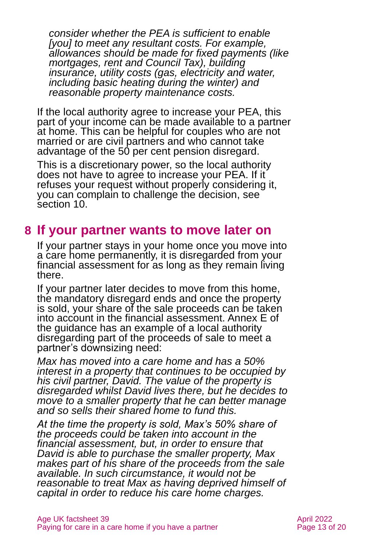*consider whether the PEA is sufficient to enable [you] to meet any resultant costs. For example, allowances should be made for fixed payments (like mortgages, rent and Council Tax), building insurance, utility costs (gas, electricity and water, including basic heating during the winter) and reasonable property maintenance costs.*

If the local authority agree to increase your PEA, this part of your income can be made available to a partner at home. This can be helpful for couples who are not married or are civil partners and who cannot take advantage of the 50 per cent pension disregard.

This is a discretionary power, so the local authority does not have to agree to increase your PEA. If it refuses your request without properly considering it, you can complain to challenge the decision, [see](#page-14-0)  [section 10.](#page-14-0)

# <span id="page-12-0"></span>**8 If your partner wants to move later on**

If your partner stays in your home once you move into a care home permanently, it is disregarded from your financial assessment for as long as they remain living there.

If your partner later decides to move from this home, the mandatory disregard ends and once the property is sold, your share of the sale proceeds can be taken into account in the financial assessment. Annex E of the guidance has an example of a local authority disregarding part of the proceeds of sale to meet a partner's downsizing need:

*Max has moved into a care home and has a 50% interest in a property that continues to be occupied by his civil partner, David. The value of the property is disregarded whilst David lives there, but he decides to move to a smaller property that he can better manage and so sells their shared home to fund this.*

*At the time the property is sold, Max's 50% share of the proceeds could be taken into account in the financial assessment, but, in order to ensure that David is able to purchase the smaller property, Max makes part of his share of the proceeds from the sale available. In such circumstance, it would not be reasonable to treat Max as having deprived himself of capital in order to reduce his care home charges.*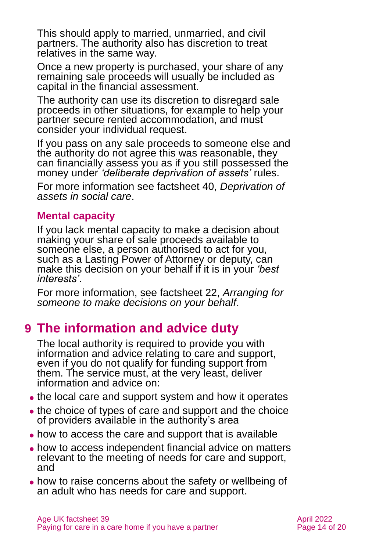This should apply to married, unmarried, and civil partners. The authority also has discretion to treat relatives in the same way.

Once a new property is purchased, your share of any remaining sale proceeds will usually be included as capital in the financial assessment.

The authority can use its discretion to disregard sale proceeds in other situations, for example to help your partner secure rented accommodation, and must consider your individual request.

If you pass on any sale proceeds to someone else and the authority do not agree this was reasonable, they can financially assess you as if you still possessed the money under *'deliberate deprivation of assets'* rules.

For more information see factsheet 40, *[Deprivation of](https://www.ageuk.org.uk/globalassets/age-uk/documents/factsheets/fs40_deprivation_of_assets_in_social_care_fcs.pdf)  [assets in social care](https://www.ageuk.org.uk/globalassets/age-uk/documents/factsheets/fs40_deprivation_of_assets_in_social_care_fcs.pdf)*.

### **Mental capacity**

If you lack mental capacity to make a decision about making your share of sale proceeds available to someone else, a person authorised to act for you, such as a Lasting Power of Attorney or deputy, can make this decision on your behalf if it is in your *'best interests'*.

For more information, see factsheet 22, *[Arranging for](https://www.ageuk.org.uk/globalassets/age-uk/documents/factsheets/fs22_arranging_for_someone_to_make_decisions_on_your_behalf_fcs.pdf)  [someone to make decisions on your behalf](https://www.ageuk.org.uk/globalassets/age-uk/documents/factsheets/fs22_arranging_for_someone_to_make_decisions_on_your_behalf_fcs.pdf)*.

# <span id="page-13-0"></span>**9 The information and advice duty**

The local authority is required to provide you with information and advice relating to care and support, even if you do not qualify for funding support from them. The service must, at the very least, deliver information and advice on:

- the local care and support system and how it operates
- the choice of types of care and support and the choice of providers available in the authority's area
- how to access the care and support that is available
- ⚫ how to access independent financial advice on matters relevant to the meeting of needs for care and support, and
- ⚫ how to raise concerns about the safety or wellbeing of an adult who has needs for care and support.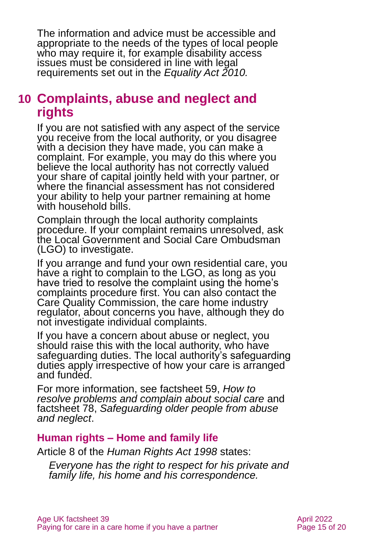The information and advice must be accessible and appropriate to the needs of the types of local people who may require it, for example disability access issues must be considered in line with legal requirements set out in the *Equality Act 2010.*

# <span id="page-14-0"></span>**10 Complaints, abuse and neglect and rights**

If you are not satisfied with any aspect of the service you receive from the local authority, or you disagree with a decision they have made, you can make a complaint. For example, you may do this where you believe the local authority has not correctly valued your share of capital jointly held with your partner, or where the financial assessment has not considered your ability to help your partner remaining at home with household bills.

Complain through the local authority complaints procedure. If your complaint remains unresolved, ask the Local Government and Social Care Ombudsman (LGO) to investigate.

If you arrange and fund your own residential care, you have a right to complain to the LGO, as long as you have tried to resolve the complaint using the home's complaints procedure first. You can also contact the Care Quality Commission, the care home industry regulator, about concerns you have, although they do not investigate individual complaints.

If you have a concern about abuse or neglect, you should raise this with the local authority, who have safeguarding duties. The local authority's safeguarding duties apply irrespective of how your care is arranged and funded.

For more information, see factsheet 59, *[How to](https://www.ageuk.org.uk/globalassets/age-uk/documents/factsheets/fs59_how_to_resolve_problems_and_complain_about_social_care_fcs.pdf)  [resolve problems and complain about social care](https://www.ageuk.org.uk/globalassets/age-uk/documents/factsheets/fs59_how_to_resolve_problems_and_complain_about_social_care_fcs.pdf)* and factsheet 78, *[Safeguarding older people from abuse](https://www.ageuk.org.uk/globalassets/age-uk/documents/factsheets/fs78_safeguarding_older_people_from_abuse_fcs.pdf)  [and neglect](https://www.ageuk.org.uk/globalassets/age-uk/documents/factsheets/fs78_safeguarding_older_people_from_abuse_fcs.pdf)*.

### **Human rights – Home and family life**

Article 8 of the *[Human Rights Act 1998](https://www.legislation.gov.uk/ukpga/1998/42/contents)* states:

*Everyone has the right to respect for his private and family life, his home and his correspondence.*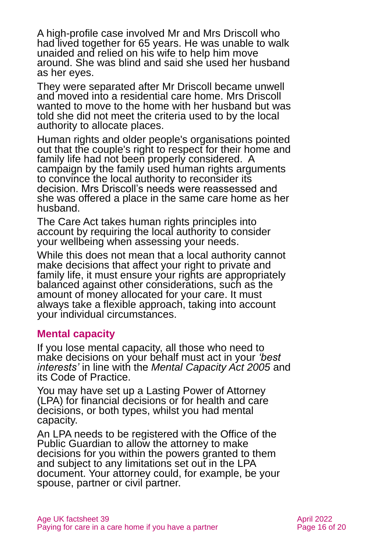A high-profile case involved Mr and Mrs Driscoll who had lived together for 65 years. He was unable to walk unaided and relied on his wife to help him move around. She was blind and said she used her husband as her eyes.

They were separated after Mr Driscoll became unwell and moved into a residential care home. Mrs Driscoll wanted to move to the home with her husband but was told she did not meet the criteria used to by the local authority to allocate places.

Human rights and older people's organisations pointed out that the couple's right to respect for their home and family life had not been properly considered. A campaign by the family used human rights arguments to convince the local authority to reconsider its decision. Mrs Driscoll's needs were reassessed and she was offered a place in the same care home as her husband.

The Care Act takes human rights principles into account by requiring the local authority to consider your wellbeing when assessing your needs.

While this does not mean that a local authority cannot make decisions that affect your right to private and family life, it must ensure your rights are appropriately balanced against other considerations, such as the amount of money allocated for your care. It must always take a flexible approach, taking into account your individual circumstances.

### **Mental capacity**

If you lose mental capacity, all those who need to make decisions on your behalf must act in your *'best interests'* in line with the *Mental Capacity Act 2005* and its Code of Practice.

You may have set up a Lasting Power of Attorney (LPA) for financial decisions or for health and care decisions, or both types, whilst you had mental capacity.

An LPA needs to be registered with the Office of the Public Guardian to allow the attorney to make decisions for you within the powers granted to them and subject to any limitations set out in the LPA document. Your attorney could, for example, be your spouse, partner or civil partner.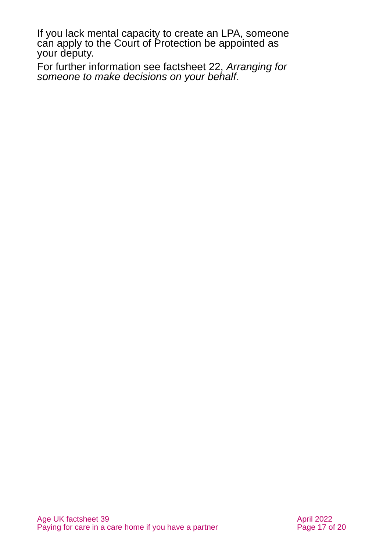If you lack mental capacity to create an LPA, someone can apply to the Court of Protection be appointed as your deputy.

For further information see factsheet 22, *[Arranging for](https://www.ageuk.org.uk/globalassets/age-uk/documents/factsheets/fs22_arranging_for_someone_to_make_decisions_on_your_behalf_fcs.pdf)  [someone to make decisions on your behalf](https://www.ageuk.org.uk/globalassets/age-uk/documents/factsheets/fs22_arranging_for_someone_to_make_decisions_on_your_behalf_fcs.pdf)*.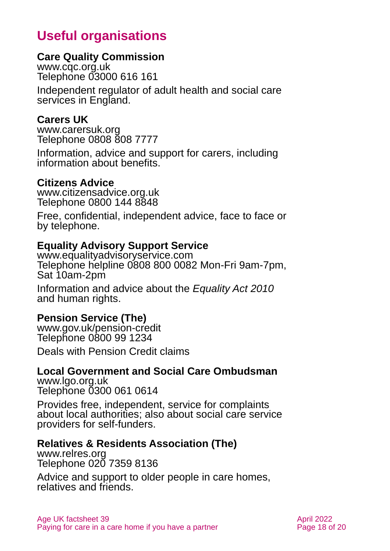# **Useful organisations**

### <span id="page-17-0"></span>**Care Quality Commission**

[www.cqc.org.uk](http://www.cqc.org.uk/) Telephone 03000 616 161

Independent regulator of adult health and social care services in England.

### **Carers UK**

[www.carersuk.org](http://www.carersuk.org/) Telephone 0808 808 7777

Information, advice and support for carers, including information about benefits.

### **Citizens Advice**

[www.citizensadvice.org.uk](http://www.citizensadvice.org.uk/) Telephone 0800 144 8848

Free, confidential, independent advice, face to face or by telephone.

### **Equality Advisory Support Service**

[www.equalityadvisoryservice.com](http://www.equalityadvisoryservice.com/) Telephone helpline 0808 800 0082 Mon-Fri 9am-7pm, Sat 10am-2pm

Information and advice about the *Equality Act 2010* and human rights.

### **Pension Service (The)**

[www.gov.uk/pension-credit](http://www.gov.uk/pension-credit) Telephone 0800 99 1234

Deals with Pension Credit claims

### **Local Government and Social Care Ombudsman**

[www.lgo.org.uk](http://www.lgo.org.uk/) Telephone 0300 061 0614

Provides free, independent, service for complaints about local authorities; also about social care service providers for self-funders.

### **Relatives & Residents Association (The)**

[www.relres.org](http://www.relres.org/) Telephone 020 7359 8136

Advice and support to older people in care homes, relatives and friends.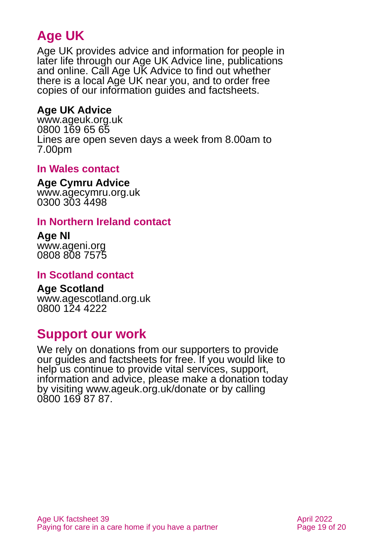# **Age UK**

Age UK provides advice and information for people in later life through our Age UK Advice line, publications and online. Call Age UK Advice to find out whether there is a local Age UK near you, and to order free copies of our information guides and factsheets.

### <span id="page-18-1"></span>**Age UK Advice**

[www.ageuk.org.uk](http://www.ageuk.org.uk/) 0800 169 65 65 Lines are open seven days a week from 8.00am to 7.00pm

### **In Wales contact**

#### **Age Cymru Advice**

[www.agecymru.org.uk](http://www.agecymru.org.uk/) 0300 303 4498

### <span id="page-18-0"></span>**In Northern Ireland contact**

#### **Age NI** [www.ageni.org](http://www.ageni.org/)

0808 808 7575

### **In Scotland contact**

# <span id="page-18-2"></span>**Age Scotland**

[www.agescotland.org.uk](http://www.agescotland.org.uk/) 0800 124 4222

# **Support our work**

We rely on donations from our supporters to provide our guides and factsheets for free. If you would like to help us continue to provide vital services, support, information and advice, please make a donation today by visiting [www.ageuk.org.uk/donate](http://www.ageuk.org.uk/donate) or by calling 0800 169 87 87.